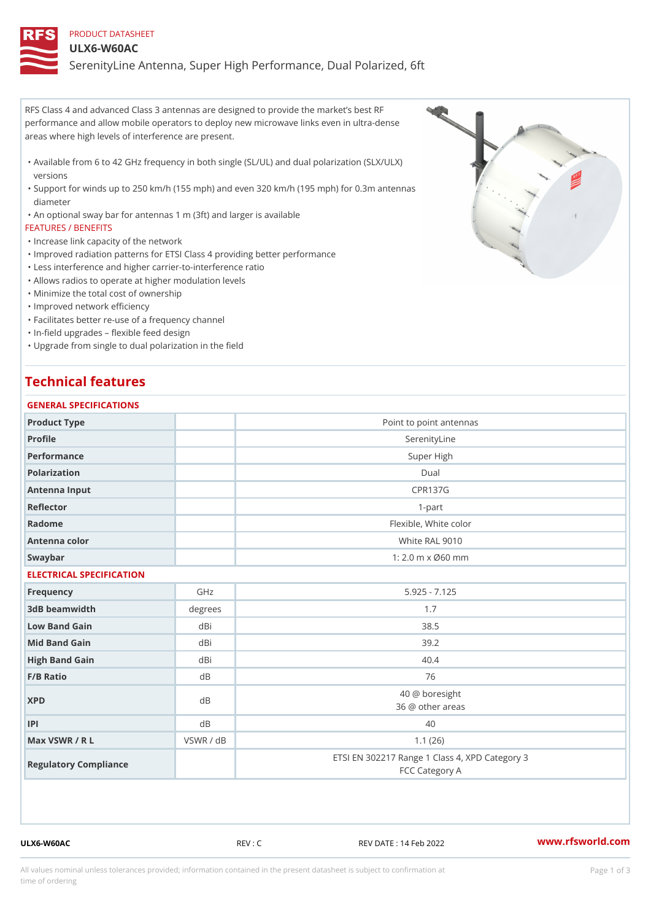#### PRODUCT DATASHEET

#### ULX6-W60AC

SerenityLine Antenna, Super High Performance, Dual Polarized, 6ft

RFS Class 4 and advanced Class 3 antennas are designed to provide the market s best RF performance and allow mobile operators to deploy new microwave links even in ultra-dense areas where high levels of interference are present.

- Available from 6 to 42 GHz frequency in both single (SL/UL) and dual polarization (SLX/ULX) " versions
- Support for winds up to 250 km/h (155 mph) and even 320 km/h (195 mph) for 0.3m antennas " diameter

"An optional sway bar for antennas 1 m (3ft) and larger is available

FEATURES / BENEFITS

"Increase link capacity of the network

- "Improved radiation patterns for ETSI Class 4 providing better performance
- "Less interference and higher carrier-to-interference ratio
- "Allows radios to operate at higher modulation levels
- "Minimize the total cost of ownership

"Improved network efficiency

"Facilitates better re-use of a frequency channel

"In-field upgrades flexible feed design

Upgrade from single to dual polarization in the field "

# Technical features

| GENERAL SPECIFICATIONS   |                         |                                                                  |  |  |
|--------------------------|-------------------------|------------------------------------------------------------------|--|--|
| Product Type             | Point to point antennas |                                                                  |  |  |
| Profile                  |                         | SerenityLine                                                     |  |  |
| Performance              |                         | Super High                                                       |  |  |
| Polarization             |                         | $D$ ual                                                          |  |  |
| Antenna Input            |                         | <b>CPR137G</b>                                                   |  |  |
| Reflector                |                         | $1 - p$ art                                                      |  |  |
| Radome                   |                         | Flexible, White color                                            |  |  |
| Antenna color            |                         | White RAL 9010                                                   |  |  |
| Swaybar                  |                         | 1: 2.0 m x Ø60 mm                                                |  |  |
| ELECTRICAL SPECIFICATION |                         |                                                                  |  |  |
| Frequency                | GHz                     | $5.925 - 7.125$                                                  |  |  |
| 3dB beamwidth            | degree:                 | 1.7                                                              |  |  |
| Low Band Gain            | dBi                     | 38.5                                                             |  |  |
| Mid Band Gain            | dBi                     | 39.2                                                             |  |  |
| High Band Gain           | dBi                     | 40.4                                                             |  |  |
| $F/B$ Ratio              | d B                     | 76                                                               |  |  |
| <b>XPD</b>               | dB                      | 40 @ boresight<br>36 @ other areas                               |  |  |
| P                        | d B                     | 40                                                               |  |  |
| Max VSWR / R L           | VSWR / dB               | 1.1(26)                                                          |  |  |
| Regulatory Compliance    |                         | ETSI EN 302217 Range 1 Class 4, XPD Category 3<br>FCC Category A |  |  |

ULX6-W60AC REV : C REV DATE : 14 Feb 2022 [www.](https://www.rfsworld.com)rfsworld.com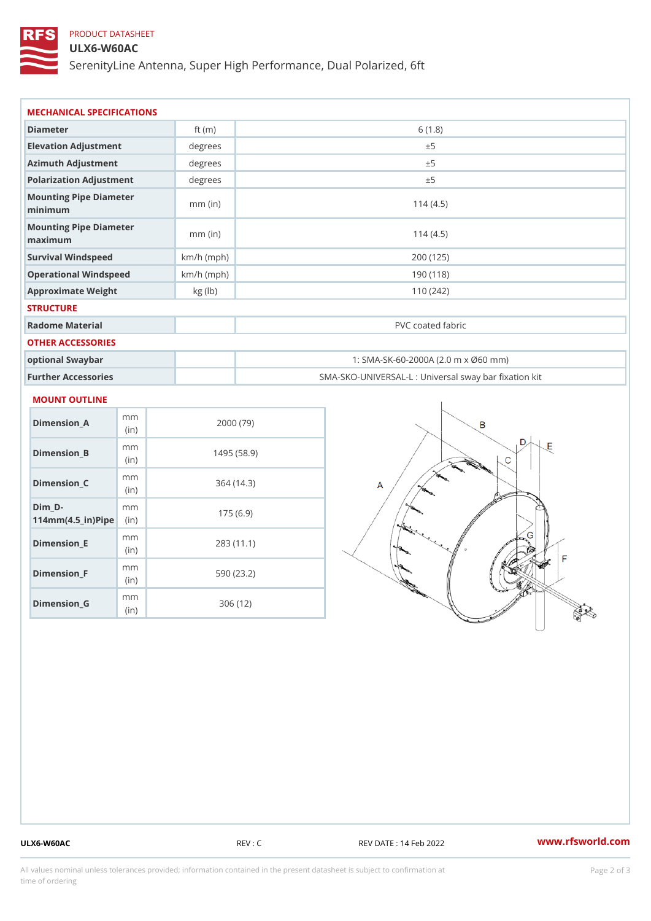## PRODUCT DATASHEET

## ULX6-W60AC

SerenityLine Antenna, Super High Performance, Dual Polarized, 6ft

| Diameter                           | ft $(m)$     | 6(1.8)                                            |
|------------------------------------|--------------|---------------------------------------------------|
| Elevation Adjustment               | degrees      | ± 5                                               |
| Azimuth Adjustment                 | degrees      | ± 5                                               |
| Polarization Adjustment            | degree       | ± 5                                               |
| Mounting Pipe Diameter<br>minimaum | $mm$ (in)    | 114(4.5)                                          |
| Mounting Pipe Diameter<br>maximum  | $mm$ (in)    | 114(4.5)                                          |
| Survival Windspeed                 | $km/h$ (mph) | 200 (125)                                         |
| Operational Windspeed              | $km/h$ (mph) | 190 (118)                                         |
| Approximate Weight                 | kg (lb)      | 110(242)                                          |
| <b>STRUCTURE</b>                   |              |                                                   |
| Radome Material                    |              | PVC coated fabric                                 |
| OTHER ACCESSORIES                  |              |                                                   |
| optional Swaybar                   |              | 1: SMA-SK-60-2000A (2.0 m x Ø60 mm)               |
| Further Accessories                |              | SMA-SKO-UNIVERSAL-L : Universal sway bar fixation |

#### MOUNT OUTLINE

| Dimension_A                       | m m<br>(i n) | 2000 (79)   |
|-----------------------------------|--------------|-------------|
| Dimension B                       | m m<br>(i n) | 1495 (58.9) |
| Dimension_C                       | m m<br>(i n) | 364 (14.3)  |
| Dim D-<br>$114mm(4.5_{ir})$ $Rip$ | m m          | 175(6.9)    |
| Dimension_E                       | m m<br>(i n) | 283(11.1)   |
| Dimension F                       | m m<br>(in)  | 590 (23.2)  |
| Dimension G                       | m m<br>(in   | 306 (12)    |

ULX6-W60AC REV : C REV DATE : 14 Feb 2022 [www.](https://www.rfsworld.com)rfsworld.com